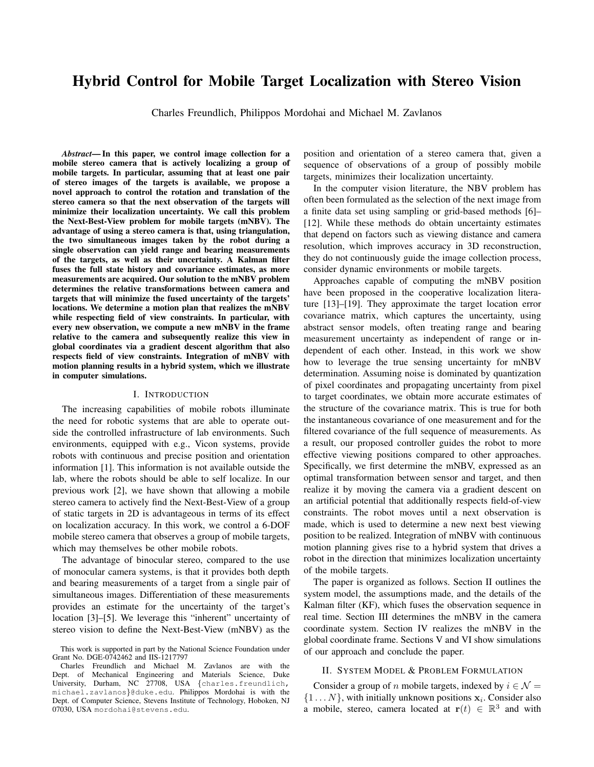# Hybrid Control for Mobile Target Localization with Stereo Vision

Charles Freundlich, Philippos Mordohai and Michael M. Zavlanos

*Abstract*— In this paper, we control image collection for a mobile stereo camera that is actively localizing a group of mobile targets. In particular, assuming that at least one pair of stereo images of the targets is available, we propose a novel approach to control the rotation and translation of the stereo camera so that the next observation of the targets will minimize their localization uncertainty. We call this problem the Next-Best-View problem for mobile targets (mNBV). The advantage of using a stereo camera is that, using triangulation, the two simultaneous images taken by the robot during a single observation can yield range and bearing measurements of the targets, as well as their uncertainty. A Kalman filter fuses the full state history and covariance estimates, as more measurements are acquired. Our solution to the mNBV problem determines the relative transformations between camera and targets that will minimize the fused uncertainty of the targets' locations. We determine a motion plan that realizes the mNBV while respecting field of view constraints. In particular, with every new observation, we compute a new mNBV in the frame relative to the camera and subsequently realize this view in global coordinates via a gradient descent algorithm that also respects field of view constraints. Integration of mNBV with motion planning results in a hybrid system, which we illustrate in computer simulations.

# I. INTRODUCTION

The increasing capabilities of mobile robots illuminate the need for robotic systems that are able to operate outside the controlled infrastructure of lab environments. Such environments, equipped with e.g., Vicon systems, provide robots with continuous and precise position and orientation information [1]. This information is not available outside the lab, where the robots should be able to self localize. In our previous work [2], we have shown that allowing a mobile stereo camera to actively find the Next-Best-View of a group of static targets in 2D is advantageous in terms of its effect on localization accuracy. In this work, we control a 6-DOF mobile stereo camera that observes a group of mobile targets, which may themselves be other mobile robots.

The advantage of binocular stereo, compared to the use of monocular camera systems, is that it provides both depth and bearing measurements of a target from a single pair of simultaneous images. Differentiation of these measurements provides an estimate for the uncertainty of the target's location [3]–[5]. We leverage this "inherent" uncertainty of stereo vision to define the Next-Best-View (mNBV) as the

position and orientation of a stereo camera that, given a sequence of observations of a group of possibly mobile targets, minimizes their localization uncertainty.

In the computer vision literature, the NBV problem has often been formulated as the selection of the next image from a finite data set using sampling or grid-based methods [6]– [12]. While these methods do obtain uncertainty estimates that depend on factors such as viewing distance and camera resolution, which improves accuracy in 3D reconstruction, they do not continuously guide the image collection process, consider dynamic environments or mobile targets.

Approaches capable of computing the mNBV position have been proposed in the cooperative localization literature [13]–[19]. They approximate the target location error covariance matrix, which captures the uncertainty, using abstract sensor models, often treating range and bearing measurement uncertainty as independent of range or independent of each other. Instead, in this work we show how to leverage the true sensing uncertainty for mNBV determination. Assuming noise is dominated by quantization of pixel coordinates and propagating uncertainty from pixel to target coordinates, we obtain more accurate estimates of the structure of the covariance matrix. This is true for both the instantaneous covariance of one measurement and for the filtered covariance of the full sequence of measurements. As a result, our proposed controller guides the robot to more effective viewing positions compared to other approaches. Specifically, we first determine the mNBV, expressed as an optimal transformation between sensor and target, and then realize it by moving the camera via a gradient descent on an artificial potential that additionally respects field-of-view constraints. The robot moves until a next observation is made, which is used to determine a new next best viewing position to be realized. Integration of mNBV with continuous motion planning gives rise to a hybrid system that drives a robot in the direction that minimizes localization uncertainty of the mobile targets.

The paper is organized as follows. Section II outlines the system model, the assumptions made, and the details of the Kalman filter (KF), which fuses the observation sequence in real time. Section III determines the mNBV in the camera coordinate system. Section IV realizes the mNBV in the global coordinate frame. Sections V and VI show simulations of our approach and conclude the paper.

## II. SYSTEM MODEL & PROBLEM FORMULATION

Consider a group of n mobile targets, indexed by  $i \in \mathcal{N} =$  $\{1 \dots N\}$ , with initially unknown positions  $x_i$ . Consider also a mobile, stereo, camera located at  $\mathbf{r}(t) \in \mathbb{R}^3$  and with

This work is supported in part by the National Science Foundation under Grant No. DGE-0742462 and IIS-1217797

Charles Freundlich and Michael M. Zavlanos are with the Dept. of Mechanical Engineering and Materials Science, Duke University, Durham, NC 27708, USA {charles.freundlich, michael.zavlanos}@duke.edu. Philippos Mordohai is with the Dept. of Computer Science, Stevens Institute of Technology, Hoboken, NJ 07030, USA mordohai@stevens.edu.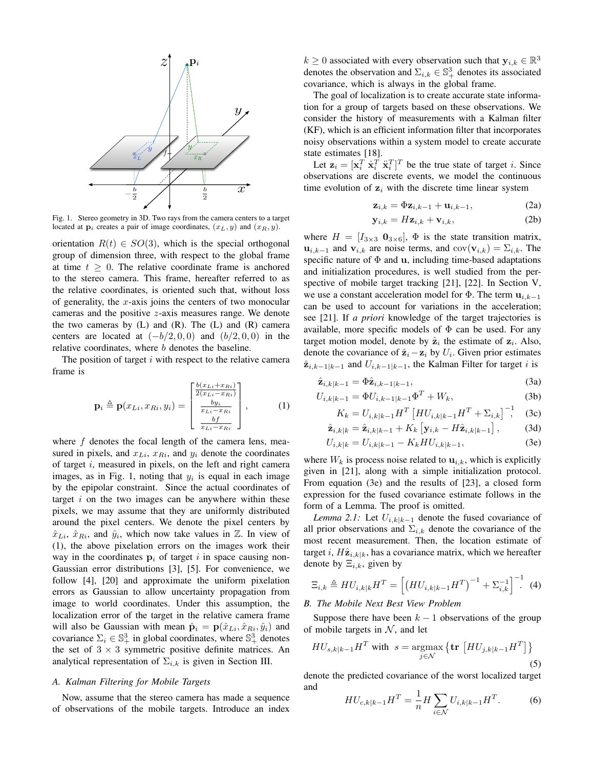

Fig. 1. Stereo geometry in 3D. Two rays from the camera centers to a target located at  $\mathbf{p}_i$  creates a pair of image coordinates,  $(x_L, y)$  and  $(x_R, y)$ .

orientation  $R(t) \in SO(3)$ , which is the special orthogonal group of dimension three, with respect to the global frame at time  $t \geq 0$ . The relative coordinate frame is anchored to the stereo camera. This frame, hereafter referred to as the relative coordinates, is oriented such that, without loss of generality, the  $x$ -axis joins the centers of two monocular cameras and the positive z-axis measures range. We denote the two cameras by  $(L)$  and  $(R)$ . The  $(L)$  and  $(R)$  camera centers are located at  $(-b/2, 0, 0)$  and  $(b/2, 0, 0)$  in the relative coordinates, where b denotes the baseline.

The position of target  $i$  with respect to the relative camera frame is

$$
\mathbf{p}_i \triangleq \mathbf{p}(x_{Li}, x_{Ri}, y_i) = \begin{bmatrix} \frac{b(x_{Li} + x_{Ri})}{2(x_{Li} - x_{Ri})} \\ \frac{by_i}{x_{Li} - x_{Ri}} \\ \frac{bf}{x_{Li} - x_{Ri}} \end{bmatrix}, \quad (1)
$$

 $\sim$  .  $\sim$ 

where  $f$  denotes the focal length of the camera lens, measured in pixels, and  $x_{Li}$ ,  $x_{Ri}$ , and  $y_i$  denote the coordinates of target i, measured in pixels, on the left and right camera images, as in Fig. 1, noting that  $y_i$  is equal in each image by the epipolar constraint. Since the actual coordinates of target  $i$  on the two images can be anywhere within these pixels, we may assume that they are uniformly distributed around the pixel centers. We denote the pixel centers by  $\hat{x}_{Li}$ ,  $\hat{x}_{Ri}$ , and  $\hat{y}_i$ , which now take values in  $\mathbb{Z}$ . In view of (1), the above pixelation errors on the images work their way in the coordinates  $p_i$  of target i in space causing non-Gaussian error distributions [3], [5]. For convenience, we follow [4], [20] and approximate the uniform pixelation errors as Gaussian to allow uncertainty propagation from image to world coordinates. Under this assumption, the localization error of the target in the relative camera frame will also be Gaussian with mean  $\hat{\mathbf{p}}_i = \mathbf{p}(\hat{x}_{Li}, \hat{x}_{Ri}, \hat{y}_i)$  and covariance  $\Sigma_i \in \mathbb{S}^3_+$  in global coordinates, where  $\mathbb{S}^3_+$  denotes the set of  $3 \times 3$  symmetric positive definite matrices. An analytical representation of  $\Sigma_{i,k}$  is given in Section III.

## *A. Kalman Filtering for Mobile Targets*

Now, assume that the stereo camera has made a sequence of observations of the mobile targets. Introduce an index

 $k \geq 0$  associated with every observation such that  $y_{i,k} \in \mathbb{R}^3$ denotes the observation and  $\Sigma_{i,k} \in \mathbb{S}^3_+$  denotes its associated covariance, which is always in the global frame.

The goal of localization is to create accurate state information for a group of targets based on these observations. We consider the history of measurements with a Kalman filter (KF), which is an efficient information filter that incorporates noisy observations within a system model to create accurate state estimates [18].

Let  $z_i = [x_i^T \dot{x}_i^T \ddot{x}_i^T]^T$  be the true state of target *i*. Since observations are discrete events, we model the continuous time evolution of  $z_i$  with the discrete time linear system

$$
\mathbf{z}_{i,k} = \Phi \mathbf{z}_{i,k-1} + \mathbf{u}_{i,k-1},\tag{2a}
$$

$$
\mathbf{y}_{i,k} = H\mathbf{z}_{i,k} + \mathbf{v}_{i,k},\tag{2b}
$$

where  $H = [I_{3\times 3} \mathbf{0}_{3\times 6}]$ ,  $\Phi$  is the state transition matrix,  $u_{i,k-1}$  and  $v_{i,k}$  are noise terms, and  $cov(v_{i,k}) = \sum_{i,k}$ . The specific nature of  $\Phi$  and **u**, including time-based adaptations and initialization procedures, is well studied from the perspective of mobile target tracking [21], [22]. In Section V, we use a constant acceleration model for  $\Phi$ . The term  $\mathbf{u}_{i,k-1}$ can be used to account for variations in the acceleration; see [21]. If *a priori* knowledge of the target trajectories is available, more specific models of  $\Phi$  can be used. For any target motion model, denote by  $\hat{\mathbf{z}}_i$  the estimate of  $\mathbf{z}_i$ . Also, denote the covariance of  $\hat{\mathbf{z}}_i - \mathbf{z}_i$  by  $U_i$ . Given prior estimates  $\hat{\mathbf{z}}_{i,k-1|k-1}$  and  $U_{i,k-1|k-1}$ , the Kalman Filter for target i is

$$
\hat{\mathbf{z}}_{i,k|k-1} = \Phi \hat{\mathbf{z}}_{i,k-1|k-1},\tag{3a}
$$

$$
U_{i,k|k-1} = \Phi U_{i,k-1|k-1} \Phi^T + W_k,
$$
\n(3b)

$$
K_k = U_{i,k|k-1} H^T \left[ H U_{i,k|k-1} H^T + \Sigma_{i,k} \right]^{-1}, \quad (3c)
$$

$$
\hat{\mathbf{z}}_{i,k|k} = \hat{\mathbf{z}}_{i,k|k-1} + K_k \left[ \mathbf{y}_{i,k} - H \hat{\mathbf{z}}_{i,k|k-1} \right], \quad (3d)
$$

$$
U = U, \quad \mathbf{K} \quad \mathbf{H} \quad (2a)
$$

$$
U_{i,k|k} = U_{i,k|k-1} - K_k H U_{i,k|k-1},
$$
\n(3e)

where  $W_k$  is process noise related to  $\mathbf{u}_{i,k}$ , which is explicitly given in [21], along with a simple initialization protocol. From equation (3e) and the results of [23], a closed form expression for the fused covariance estimate follows in the form of a Lemma. The proof is omitted.

*Lemma 2.1:* Let  $U_{i,k|k-1}$  denote the fused covariance of all prior observations and  $\Sigma_{i,k}$  denote the covariance of the most recent measurement. Then, the location estimate of target i,  $H\hat{\mathbf{z}}_{i,k|k}$ , has a covariance matrix, which we hereafter denote by  $\Xi_{i,k}$ , given by

$$
\Xi_{i,k} \triangleq H U_{i,k|k} H^T = \left[ \left( H U_{i,k|k-1} H^T \right)^{-1} + \Sigma_{i,k}^{-1} \right]^{-1} (4)
$$

# *B. The Mobile Next Best View Problem*

Suppose there have been  $k - 1$  observations of the group of mobile targets in  $N$ , and let

$$
HU_{s,k|k-1}H^T \text{ with } s = \underset{j \in \mathcal{N}}{\operatorname{argmax}} \left\{ \operatorname{tr} \left[ HU_{j,k|k-1}H^T \right] \right\}
$$
\n
$$
\tag{5}
$$

denote the predicted covariance of the worst localized target and

$$
HU_{c,k|k-1}H^{T} = \frac{1}{n}H\sum_{i\in\mathcal{N}}U_{i,k|k-1}H^{T}.
$$
 (6)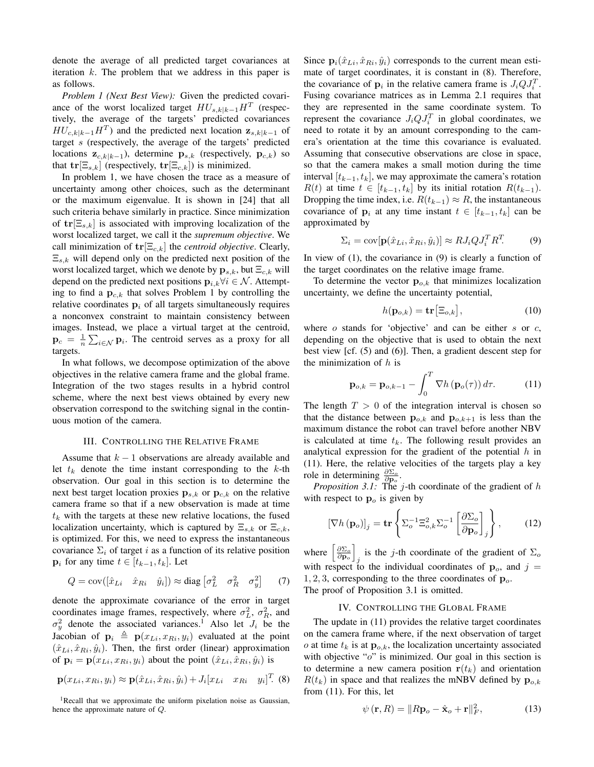denote the average of all predicted target covariances at iteration  $k$ . The problem that we address in this paper is as follows.

*Problem 1 (Next Best View):* Given the predicted covariance of the worst localized target  $HU_{s,k|k-1}H^T$  (respectively, the average of the targets' predicted covariances  $HU_{c,k|k-1}H^T$  and the predicted next location  $z_{s,k|k-1}$  of target s (respectively, the average of the targets' predicted locations  $\mathbf{z}_{c,k|k-1}$ ), determine  $\mathbf{p}_{s,k}$  (respectively,  $\mathbf{p}_{c,k}$ ) so that  $\text{tr}[\Xi_{s,k}]$  (respectively,  $\text{tr}[\Xi_{c,k}]$ ) is minimized.

In problem 1, we have chosen the trace as a measure of uncertainty among other choices, such as the determinant or the maximum eigenvalue. It is shown in [24] that all such criteria behave similarly in practice. Since minimization of  $tr[\Xi_{s,k}]$  is associated with improving localization of the worst localized target, we call it the *supremum objective*. We call minimization of  $\text{tr}[\Xi_{c,k}]$  the *centroid objective*. Clearly,  $\Xi_{s,k}$  will depend only on the predicted next position of the worst localized target, which we denote by  $\mathbf{p}_{s,k}$ , but  $\Xi_{c,k}$  will depend on the predicted next positions  $\mathbf{p}_{i,k} \forall i \in \mathcal{N}$ . Attempting to find a  $p_{c,k}$  that solves Problem 1 by controlling the relative coordinates  $\mathbf{p}_i$  of all targets simultaneously requires a nonconvex constraint to maintain consistency between images. Instead, we place a virtual target at the centroid,  $\mathbf{p}_c = \frac{1}{n} \sum_{i \in \mathcal{N}} \mathbf{p}_i$ . The centroid serves as a proxy for all targets.

In what follows, we decompose optimization of the above objectives in the relative camera frame and the global frame. Integration of the two stages results in a hybrid control scheme, where the next best views obtained by every new observation correspond to the switching signal in the continuous motion of the camera.

#### III. CONTROLLING THE RELATIVE FRAME

Assume that  $k - 1$  observations are already available and let  $t_k$  denote the time instant corresponding to the k-th observation. Our goal in this section is to determine the next best target location proxies  $p_{s,k}$  or  $p_{c,k}$  on the relative camera frame so that if a new observation is made at time  $t_k$  with the targets at these new relative locations, the fused localization uncertainty, which is captured by  $\Xi_{s,k}$  or  $\Xi_{c,k}$ , is optimized. For this, we need to express the instantaneous covariance  $\Sigma_i$  of target i as a function of its relative position  $\mathbf{p}_i$  for any time  $t \in [t_{k-1}, t_k]$ . Let

$$
Q = \text{cov}([\hat{x}_{Li} \quad \hat{x}_{Ri} \quad \hat{y}_i]) \approx \text{diag} [\sigma_L^2 \quad \sigma_R^2 \quad \sigma_y^2] \tag{7}
$$

denote the approximate covariance of the error in target coordinates image frames, respectively, where  $\sigma_L^2$ ,  $\sigma_R^2$ , and  $\sigma_y^2$  denote the associated variances.<sup>1</sup> Also let  $J_i$  be the Jacobian of  $\mathbf{p}_i \triangleq \mathbf{p}(x_{Li}, x_{Ri}, y_i)$  evaluated at the point  $(\hat{x}_{Li}, \hat{x}_{Ri}, \hat{y}_i)$ . Then, the first order (linear) approximation of  $\mathbf{p}_i = \mathbf{p}(x_{Li}, x_{Ri}, y_i)$  about the point  $(\hat{x}_{Li}, \hat{x}_{Ri}, \hat{y}_i)$  is

$$
\mathbf{p}(x_{Li}, x_{Ri}, y_i) \approx \mathbf{p}(\hat{x}_{Li}, \hat{x}_{Ri}, \hat{y}_i) + J_i[x_{Li} \quad x_{Ri} \quad y_i]^T
$$
 (8)

<sup>1</sup>Recall that we approximate the uniform pixelation noise as Gaussian, hence the approximate nature of Q.

Since  $\mathbf{p}_i(\hat{x}_{Li}, \hat{x}_{Ri}, \hat{y}_i)$  corresponds to the current mean estimate of target coordinates, it is constant in (8). Therefore, the covariance of  $\mathbf{p}_i$  in the relative camera frame is  $J_i Q J_i^T$ . Fusing covariance matrices as in Lemma 2.1 requires that they are represented in the same coordinate system. To represent the covariance  $J_i Q J_i^T$  in global coordinates, we need to rotate it by an amount corresponding to the camera's orientation at the time this covariance is evaluated. Assuming that consecutive observations are close in space, so that the camera makes a small motion during the time interval  $[t_{k-1}, t_k]$ , we may approximate the camera's rotation  $R(t)$  at time  $t \in [t_{k-1}, t_k]$  by its initial rotation  $R(t_{k-1})$ . Dropping the time index, i.e.  $R(t_{k-1}) \approx R$ , the instantaneous covariance of  $\mathbf{p}_i$  at any time instant  $t \in [t_{k-1}, t_k]$  can be approximated by

$$
\Sigma_i = \text{cov}[\mathbf{p}(\hat{x}_{Li}, \hat{x}_{Ri}, \hat{y}_i)] \approx RJ_iQJ_i^T R^T.
$$
 (9)

In view of  $(1)$ , the covariance in  $(9)$  is clearly a function of the target coordinates on the relative image frame.

To determine the vector  $\mathbf{p}_{o,k}$  that minimizes localization uncertainty, we define the uncertainty potential,

$$
h(\mathbf{p}_{o,k}) = \mathbf{tr}\big[\Xi_{o,k}\big],\tag{10}
$$

where  $\sigma$  stands for 'objective' and can be either  $s$  or  $c$ , depending on the objective that is used to obtain the next best view [cf. (5) and (6)]. Then, a gradient descent step for the minimization of  $h$  is

$$
\mathbf{p}_{o,k} = \mathbf{p}_{o,k-1} - \int_0^T \nabla h\left(\mathbf{p}_o(\tau)\right) d\tau.
$$
 (11)

The length  $T > 0$  of the integration interval is chosen so that the distance between  $\mathbf{p}_{o,k}$  and  $\mathbf{p}_{o,k+1}$  is less than the maximum distance the robot can travel before another NBV is calculated at time  $t_k$ . The following result provides an analytical expression for the gradient of the potential  $h$  in (11). Here, the relative velocities of the targets play a key role in determining  $\frac{\partial \Sigma_o}{\partial \mathbf{p}_o}$ .

*Proposition 3.1:* The j-th coordinate of the gradient of h with respect to  $\mathbf{p}_o$  is given by

$$
\left[\nabla h\left(\mathbf{p}_{o}\right)\right]_{j} = \mathbf{tr}\left\{\Sigma_{o}^{-1}\Xi_{o,k}^{2}\Sigma_{o}^{-1}\left[\frac{\partial\Sigma_{o}}{\partial\mathbf{p}_{o}}\right]_{j}\right\},\qquad(12)
$$

where  $\left[\frac{\partial \Sigma_o}{\partial \mathbf{p}_o}\right]$ i is the *j*-th coordinate of the gradient of  $\Sigma_o$ with respect to the individual coordinates of  $\mathbf{p}_o$ , and  $j =$  $1, 2, 3$ , corresponding to the three coordinates of  $\mathbf{p}_o$ . The proof of Proposition 3.1 is omitted.

#### IV. CONTROLLING THE GLOBAL FRAME

The update in (11) provides the relative target coordinates on the camera frame where, if the next observation of target *o* at time  $t_k$  is at  $\mathbf{p}_{o,k}$ , the localization uncertainty associated with objective " $o$ " is minimized. Our goal in this section is to determine a new camera position  $r(t_k)$  and orientation  $R(t_k)$  in space and that realizes the mNBV defined by  $\mathbf{p}_{o,k}$ from (11). For this, let

$$
\psi(\mathbf{r}, R) = ||R\mathbf{p}_o - \hat{\mathbf{x}}_o + \mathbf{r}||_F^2, \tag{13}
$$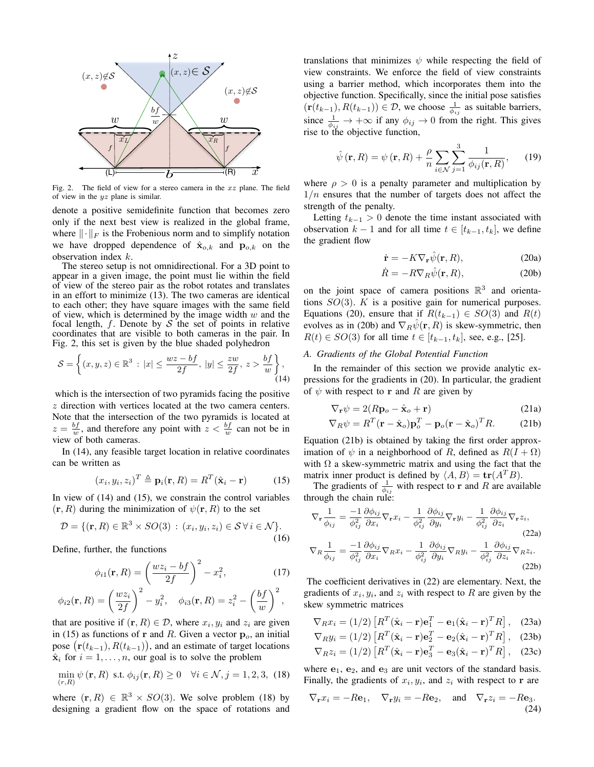

Fig. 2. The field of view for a stereo camera in the  $xz$  plane. The field of view in the  $yz$  plane is similar.

denote a positive semidefinite function that becomes zero only if the next best view is realized in the global frame, where  $\|\cdot\|_F$  is the Frobenious norm and to simplify notation we have dropped dependence of  $\hat{\mathbf{x}}_{o,k}$  and  $\mathbf{p}_{o,k}$  on the observation index k.

The stereo setup is not omnidirectional. For a 3D point to appear in a given image, the point must lie within the field of view of the stereo pair as the robot rotates and translates in an effort to minimize (13). The two cameras are identical to each other; they have square images with the same field of view, which is determined by the image width  $w$  and the focal length,  $f$ . Denote by  $S$  the set of points in relative coordinates that are visible to both cameras in the pair. In Fig. 2, this set is given by the blue shaded polyhedron

$$
S = \left\{ (x, y, z) \in \mathbb{R}^3 : |x| \le \frac{wz - bf}{2f}, \ |y| \le \frac{zw}{2f}, \ z > \frac{bf}{w} \right\},\tag{14}
$$

which is the intersection of two pyramids facing the positive z direction with vertices located at the two camera centers. Note that the intersection of the two pyramids is located at  $z = \frac{bf}{w}$ , and therefore any point with  $z < \frac{bf}{w}$  can not be in view of both cameras.

In (14), any feasible target location in relative coordinates can be written as

$$
(x_i, y_i, z_i)^T \triangleq \mathbf{p}_i(\mathbf{r}, R) = R^T(\hat{\mathbf{x}}_i - \mathbf{r})
$$
 (15)

In view of (14) and (15), we constrain the control variables  $(r, R)$  during the minimization of  $\psi(\mathbf{r}, R)$  to the set

$$
\mathcal{D} = \{ (\mathbf{r}, R) \in \mathbb{R}^3 \times SO(3) : (x_i, y_i, z_i) \in S \,\forall \, i \in \mathcal{N} \}. \tag{16}
$$

Define, further, the functions

$$
\phi_{i1}(\mathbf{r}, R) = \left(\frac{wz_i - bf}{2f}\right)^2 - x_i^2,
$$
\n
$$
\phi_{i2}(\mathbf{r}, R) = \left(\frac{wz_i}{2f}\right)^2 - y_i^2, \quad \phi_{i3}(\mathbf{r}, R) = z_i^2 - \left(\frac{bf}{w}\right)^2,
$$
\n(17)

that are positive if  $(\mathbf{r}, R) \in \mathcal{D}$ , where  $x_i, y_i$  and  $z_i$  are given in (15) as functions of r and R. Given a vector  $\mathbf{p}_o$ , an initial pose  $(r(t_{k-1}), R(t_{k-1}))$ , and an estimate of target locations  $\hat{\mathbf{x}}_i$  for  $i = 1, \dots, n$ , our goal is to solve the problem

$$
\min_{(r,R)} \psi(\mathbf{r},R) \text{ s.t. } \phi_{ij}(\mathbf{r},R) \ge 0 \quad \forall i \in \mathcal{N}, j = 1,2,3, (18)
$$

where  $(\mathbf{r}, R) \in \mathbb{R}^3 \times SO(3)$ . We solve problem (18) by designing a gradient flow on the space of rotations and translations that minimizes  $\psi$  while respecting the field of view constraints. We enforce the field of view constraints using a barrier method, which incorporates them into the objective function. Specifically, since the initial pose satisfies  $(r(t_{k-1}), R(t_{k-1})) \in \mathcal{D}$ , we choose  $\frac{1}{\phi_{ij}}$  as suitable barriers, since  $\frac{1}{\phi_{ij}} \to +\infty$  if any  $\phi_{ij} \to 0$  from the right. This gives rise to the objective function,

$$
\hat{\psi}(\mathbf{r}, R) = \psi(\mathbf{r}, R) + \frac{\rho}{n} \sum_{i \in \mathcal{N}} \sum_{j=1}^{3} \frac{1}{\phi_{ij}(\mathbf{r}, R)},
$$
(19)

where  $\rho > 0$  is a penalty parameter and multiplication by  $1/n$  ensures that the number of targets does not affect the strength of the penalty.

Letting  $t_{k-1} > 0$  denote the time instant associated with observation  $k - 1$  and for all time  $t \in [t_{k-1}, t_k]$ , we define the gradient flow

$$
\dot{\mathbf{r}} = -K \nabla_{\mathbf{r}} \hat{\psi}(\mathbf{r}, R), \qquad (20a)
$$

$$
\dot{R} = -R\nabla_R \hat{\psi}(\mathbf{r}, R),\tag{20b}
$$

on the joint space of camera positions  $\mathbb{R}^3$  and orientations  $SO(3)$ . K is a positive gain for numerical purposes. Equations (20), ensure that if  $R(t_{k-1}) \in SO(3)$  and  $R(t)$ evolves as in (20b) and  $\nabla_R \hat{\psi}(\mathbf{r}, R)$  is skew-symmetric, then  $R(t) \in SO(3)$  for all time  $t \in [t_{k-1}, t_k]$ , see, e.g., [25].

## *A. Gradients of the Global Potential Function*

In the remainder of this section we provide analytic expressions for the gradients in (20). In particular, the gradient of  $\psi$  with respect to r and R are given by

$$
\nabla_{\mathbf{r}} \psi = 2(R\mathbf{p}_o - \hat{\mathbf{x}}_o + \mathbf{r})
$$
 (21a)

$$
\nabla_R \psi = R^T (\mathbf{r} - \hat{\mathbf{x}}_o) \mathbf{p}_o^T - \mathbf{p}_o (\mathbf{r} - \hat{\mathbf{x}}_o)^T R.
$$
 (21b)

Equation (21b) is obtained by taking the first order approximation of  $\psi$  in a neighborhood of R, defined as  $R(I + \Omega)$ with  $\Omega$  a skew-symmetric matrix and using the fact that the matrix inner product is defined by  $\langle A, B \rangle = \text{tr}(A^T B)$ .

The gradients of  $\frac{1}{\phi_{ij}}$  with respect to r and R are available through the chain rule:

$$
\nabla_{\mathbf{r}} \frac{1}{\phi_{ij}} = \frac{-1}{\phi_{ij}^2} \frac{\partial \phi_{ij}}{\partial x_i} \nabla_{\mathbf{r}} x_i - \frac{1}{\phi_{ij}^2} \frac{\partial \phi_{ij}}{\partial y_i} \nabla_{\mathbf{r}} y_i - \frac{1}{\phi_{ij}^2} \frac{\partial \phi_{ij}}{\partial z_i} \nabla_{\mathbf{r}} z_i,
$$
\n(22a)\n
$$
\nabla_{R} \frac{1}{\phi_{ij}} = \frac{-1}{\phi_{ij}^2} \frac{\partial \phi_{ij}}{\partial x_i} \nabla_{R} x_i - \frac{1}{\phi_{ij}^2} \frac{\partial \phi_{ij}}{\partial y_i} \nabla_{R} y_i - \frac{1}{\phi_{ij}^2} \frac{\partial \phi_{ij}}{\partial z_i} \nabla_{R} z_i.
$$
\n(22b)

The coefficient derivatives in (22) are elementary. Next, the gradients of  $x_i, y_i$ , and  $z_i$  with respect to R are given by the skew symmetric matrices

$$
\nabla_R x_i = (1/2) \left[ R^T (\hat{\mathbf{x}}_i - \mathbf{r}) \mathbf{e}_1^T - \mathbf{e}_1 (\hat{\mathbf{x}}_i - \mathbf{r})^T R \right], \quad (23a)
$$

$$
\nabla_R y_i = (1/2) \left[ R^T (\hat{\mathbf{x}}_i - \mathbf{r}) \mathbf{e}_2^T - \mathbf{e}_2 (\hat{\mathbf{x}}_i - \mathbf{r})^T R \right], \quad (23b)
$$
  

$$
\nabla_R z_i = (1/2) \left[ R^T (\hat{\mathbf{x}}_i - \mathbf{r}) \mathbf{e}_3^T - \mathbf{e}_3 (\hat{\mathbf{x}}_i - \mathbf{r})^T R \right], \quad (23c)
$$

where  $e_1$ ,  $e_2$ , and  $e_3$  are unit vectors of the standard basis. Finally, the gradients of  $x_i, y_i$ , and  $z_i$  with respect to r are

$$
\nabla_{\mathbf{r}} x_i = -R\mathbf{e}_1, \quad \nabla_{\mathbf{r}} y_i = -R\mathbf{e}_2, \quad \text{and} \quad \nabla_{\mathbf{r}} z_i = -R\mathbf{e}_3.
$$
\n(24)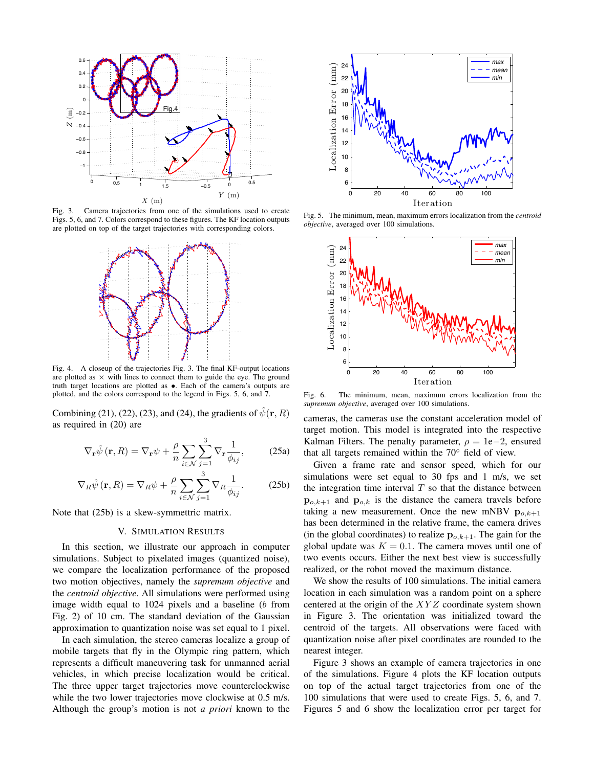

Fig. 3. Camera trajectories from one of the simulations used to create Figs. 5, 6, and 7. Colors correspond to these figures. The KF location outputs are plotted on top of the target trajectories with corresponding colors.



Fig. 4. A closeup of the trajectories Fig. 3. The final KF-output locations are plotted as  $\times$  with lines to connect them to guide the eye. The ground truth target locations are plotted as •. Each of the camera's outputs are plotted, and the colors correspond to the legend in Figs. 5, 6, and 7.

Combining (21), (22), (23), and (24), the gradients of  $\psi(\mathbf{r}, R)$ as required in (20) are

$$
\nabla_{\mathbf{r}} \hat{\psi}(\mathbf{r}, R) = \nabla_{\mathbf{r}} \psi + \frac{\rho}{n} \sum_{i \in \mathcal{N}} \sum_{j=1}^{3} \nabla_{\mathbf{r}} \frac{1}{\phi_{ij}},
$$
 (25a)

$$
\nabla_R \hat{\psi}(\mathbf{r}, R) = \nabla_R \psi + \frac{\rho}{n} \sum_{i \in \mathcal{N}} \sum_{j=1}^3 \nabla_R \frac{1}{\phi_{ij}}.
$$
 (25b)

Note that (25b) is a skew-symmettric matrix.

# V. SIMULATION RESULTS

In this section, we illustrate our approach in computer simulations. Subject to pixelated images (quantized noise), we compare the localization performance of the proposed two motion objectives, namely the *supremum objective* and the *centroid objective*. All simulations were performed using image width equal to 1024 pixels and a baseline (b from Fig. 2) of 10 cm. The standard deviation of the Gaussian approximation to quantization noise was set equal to 1 pixel.

In each simulation, the stereo cameras localize a group of mobile targets that fly in the Olympic ring pattern, which represents a difficult maneuvering task for unmanned aerial vehicles, in which precise localization would be critical. The three upper target trajectories move counterclockwise while the two lower trajectories move clockwise at 0.5 m/s. Although the group's motion is not *a priori* known to the



Fig. 5. The minimum, mean, maximum errors localization from the *centroid objective*, averaged over 100 simulations.



Fig. 6. The minimum, mean, maximum errors localization from the *supremum objective*, averaged over 100 simulations.

cameras, the cameras use the constant acceleration model of target motion. This model is integrated into the respective Kalman Filters. The penalty parameter,  $\rho = 1e-2$ , ensured that all targets remained within the 70◦ field of view.

Given a frame rate and sensor speed, which for our simulations were set equal to 30 fps and 1 m/s, we set the integration time interval  $T$  so that the distance between  $\mathbf{p}_{o,k+1}$  and  $\mathbf{p}_{o,k}$  is the distance the camera travels before taking a new measurement. Once the new mNBV  $\mathbf{p}_{o,k+1}$ has been determined in the relative frame, the camera drives (in the global coordinates) to realize  $\mathbf{p}_{o,k+1}$ . The gain for the global update was  $K = 0.1$ . The camera moves until one of two events occurs. Either the next best view is successfully realized, or the robot moved the maximum distance.

We show the results of 100 simulations. The initial camera location in each simulation was a random point on a sphere centered at the origin of the  $XYZ$  coordinate system shown in Figure 3. The orientation was initialized toward the centroid of the targets. All observations were faced with quantization noise after pixel coordinates are rounded to the nearest integer.

Figure 3 shows an example of camera trajectories in one of the simulations. Figure 4 plots the KF location outputs on top of the actual target trajectories from one of the 100 simulations that were used to create Figs. 5, 6, and 7. Figures 5 and 6 show the localization error per target for